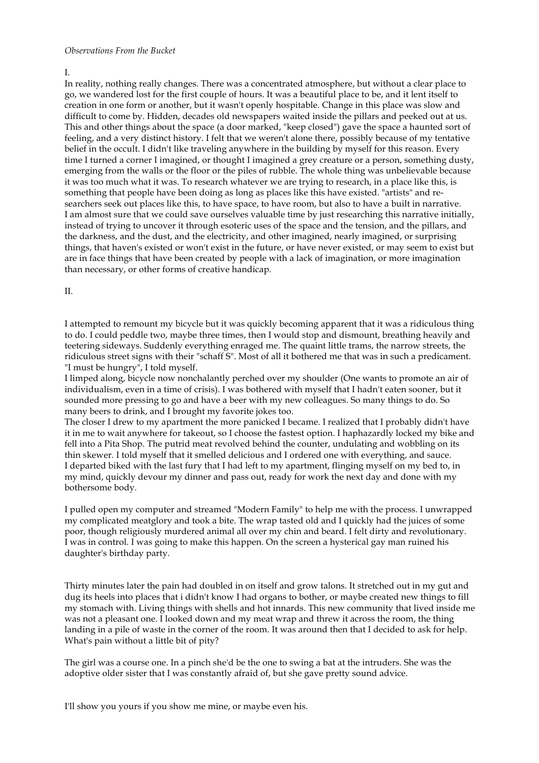## *Observations From the Bucket*

In reality, nothing really changes. There was a concentrated atmosphere, but without a clear place to go, we wandered lost for the first couple of hours. It was a beautiful place to be, and it lent itself to creation in one form or another, but it wasn't openly hospitable. Change in this place was slow and difficult to come by. Hidden, decades old newspapers waited inside the pillars and peeked out at us. This and other things about the space (a door marked, "keep closed") gave the space a haunted sort of feeling, and a very distinct history. I felt that we weren't alone there, possibly because of my tentative belief in the occult. I didn't like traveling anywhere in the building by myself for this reason. Every time I turned a corner I imagined, or thought I imagined a grey creature or a person, something dusty, emerging from the walls or the floor or the piles of rubble. The whole thing was unbelievable because it was too much what it was. To research whatever we are trying to research, in a place like this, is something that people have been doing as long as places like this have existed. "artists" and researchers seek out places like this, to have space, to have room, but also to have a built in narrative. I am almost sure that we could save ourselves valuable time by just researching this narrative initially, instead of trying to uncover it through esoteric uses of the space and the tension, and the pillars, and the darkness, and the dust, and the electricity, and other imagined, nearly imagined, or surprising things, that haven's existed or won't exist in the future, or have never existed, or may seem to exist but are in face things that have been created by people with a lack of imagination, or more imagination than necessary, or other forms of creative handicap.

II.

I attempted to remount my bicycle but it was quickly becoming apparent that it was a ridiculous thing to do. I could peddle two, maybe three times, then I would stop and dismount, breathing heavily and teetering sideways. Suddenly everything enraged me. The quaint little trams, the narrow streets, the ridiculous street signs with their "schaff S". Most of all it bothered me that was in such a predicament. "I must be hungry", I told myself.

I limped along, bicycle now nonchalantly perched over my shoulder (One wants to promote an air of individualism, even in a time of crisis). I was bothered with myself that I hadn't eaten sooner, but it sounded more pressing to go and have a beer with my new colleagues. So many things to do. So many beers to drink, and I brought my favorite jokes too.

The closer I drew to my apartment the more panicked I became. I realized that I probably didn't have it in me to wait anywhere for takeout, so I choose the fastest option. I haphazardly locked my bike and fell into a Pita Shop. The putrid meat revolved behind the counter, undulating and wobbling on its thin skewer. I told myself that it smelled delicious and I ordered one with everything, and sauce. I departed biked with the last fury that I had left to my apartment, flinging myself on my bed to, in my mind, quickly devour my dinner and pass out, ready for work the next day and done with my bothersome body.

I pulled open my computer and streamed "Modern Family" to help me with the process. I unwrapped my complicated meatglory and took a bite. The wrap tasted old and I quickly had the juices of some poor, though religiously murdered animal all over my chin and beard. I felt dirty and revolutionary. I was in control. I was going to make this happen. On the screen a hysterical gay man ruined his daughter's birthday party.

Thirty minutes later the pain had doubled in on itself and grow talons. It stretched out in my gut and dug its heels into places that i didn't know I had organs to bother, or maybe created new things to fill my stomach with. Living things with shells and hot innards. This new community that lived inside me was not a pleasant one. I looked down and my meat wrap and threw it across the room, the thing landing in a pile of waste in the corner of the room. It was around then that I decided to ask for help. What's pain without a little bit of pity?

The girl was a course one. In a pinch she'd be the one to swing a bat at the intruders. She was the adoptive older sister that I was constantly afraid of, but she gave pretty sound advice.

I'll show you yours if you show me mine, or maybe even his.

I.